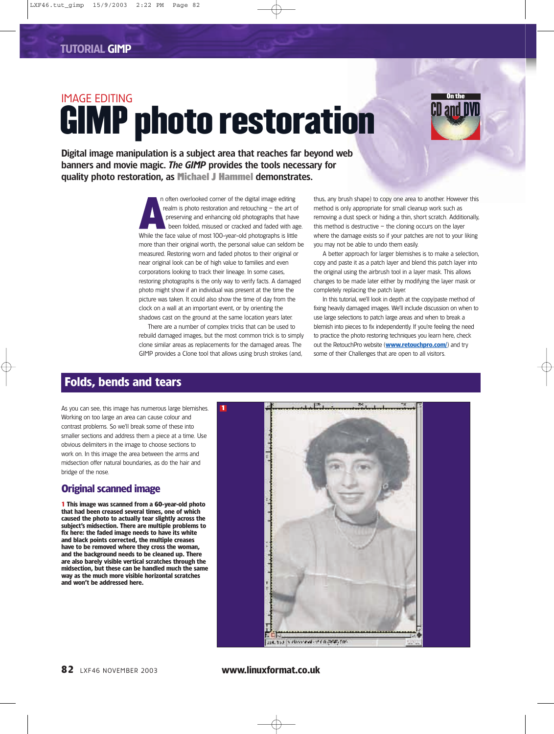# IMAGE EDITING GIMP photo restoration



Digital image manipulation is a subject area that reaches far beyond web banners and movie magic. *The GIMP* provides the tools necessary for quality photo restoration, as **Michael J Hammel** demonstrates.

> n often overlooked corner of the digital image editing realm is photo restoration and retouching – the art of preserving and enhancing old photographs that have been folded, misused or cracked and faded with age. While the face value of most 100-year-old photographs is little more than their original worth, the personal value can seldom be measured. Restoring worn and faded photos to their original or near original look can be of high value to families and even corporations looking to track their lineage. In some cases, restoring photographs is the only way to verify facts. A damaged photo might show if an individual was present at the time the picture was taken. It could also show the time of day from the clock on a wall at an important event, or by orienting the shadows cast on the ground at the same location years later.

There are a number of complex tricks that can be used to rebuild damaged images, but the most common trick is to simply clone similar areas as replacements for the damaged areas. The GIMP provides a Clone tool that allows using brush strokes (and,

**1**

thus, any brush shape) to copy one area to another. However this method is only appropriate for small cleanup work such as removing a dust speck or hiding a thin, short scratch. Additionally, this method is destructive  $-$  the cloning occurs on the layer where the damage exists so if your patches are not to your liking you may not be able to undo them easily.

A better approach for larger blemishes is to make a selection, copy and paste it as a patch layer and blend this patch layer into the original using the airbrush tool in a layer mask. This allows changes to be made later either by modifying the layer mask or completely replacing the patch layer.

In this tutorial, we'll look in depth at the copy/paste method of fixing heavily damaged images. We'll include discussion on when to use large selections to patch large areas and when to break a blemish into pieces to fix independently. If you're feeling the need to practice the photo restoring techniques you learn here, check out the RetouchPro website (**www.retouchpro.com/**) and try some of their Challenges that are open to all visitors.

# **Folds, bends and tears**

As you can see, this image has numerous large blemishes. Working on too large an area can cause colour and contrast problems. So we'll break some of these into smaller sections and address them a piece at a time. Use obvious delimiters in the image to choose sections to work on. In this image the area between the arms and midsection offer natural boundaries, as do the hair and bridge of the nose.

#### **Original scanned image**

**1 This image was scanned from a 60-year-old photo that had been creased several times, one of which caused the photo to actually tear slightly across the subject's midsection. There are multiple problems to fix here: the faded image needs to have its white and black points corrected, the multiple creases have to be removed where they cross the woman, and the background needs to be cleaned up. There are also barely visible vertical scratches through the midsection, but these can be handled much the same way as the much more visible horizontal scratches and won't be addressed here.**



**82** LXF46 NOVEMBER 2003 **www.linuxformat.co.uk**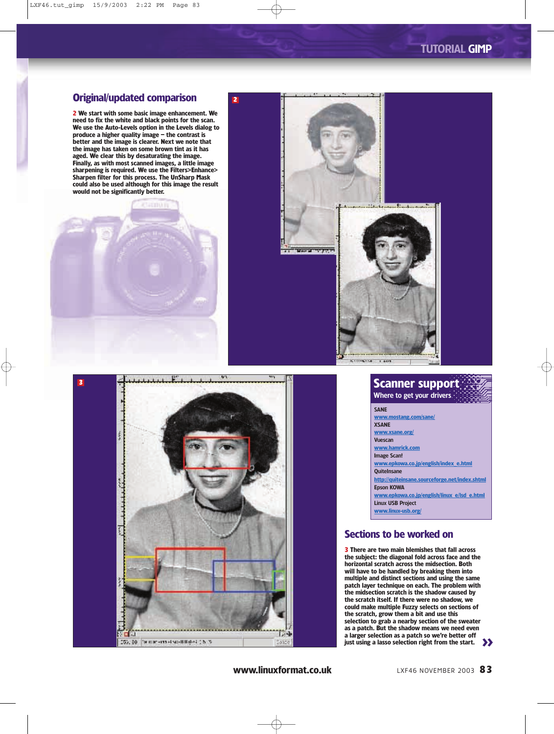#### **Original/updated comparison**

**2**

**2 We start with some basic image enhancement. We need to fix the white and black points for the scan. We use the Auto-Levels option in the Levels dialog to produce a higher quality image – the contrast is better and the image is clearer. Next we note that the image has taken on some brown tint as it has aged. We clear this by desaturating the image. Finally, as with most scanned images, a little image sharpening is required. We use the Filters>Enhance> Sharpen filter for this process. The UnSharp Mask could also be used although for this image the result would not be significantly better.**



150, 80 - famous - most sustitution (151%)

**3**





#### **Scanner support** Where to get your drivers

SANE **www.mostang.com/sane/ XSANE www.xsane.org/** Vuescan **www.hamrick.com** Image Scan! **www.epkowa.co.jp/english/index\_e.html QuiteInsane http://quiteinsane.sourceforge.net/index.shtml** Epson KOWA **www.epkowa.co.jp/english/linux\_e/lsd\_e.html** Linux USB Project **www.linux-usb.org/**

### **Sections to be worked on**

>> **just using a lasso selection right from the start. 3 There are two main blemishes that fall across the subject: the diagonal fold across face and the horizontal scratch across the midsection. Both will have to be handled by breaking them into multiple and distinct sections and using the same patch layer technique on each. The problem with the midsection scratch is the shadow caused by the scratch itself. If there were no shadow, we could make multiple Fuzzy selects on sections of the scratch, grow them a bit and use this selection to grab a nearby section of the sweater as a patch. But the shadow means we need even a larger selection as a patch so we're better off**

**www.linuxformat.co.uk** LXF46 NOVEMBER 2003 83

 $1.4$ 

58310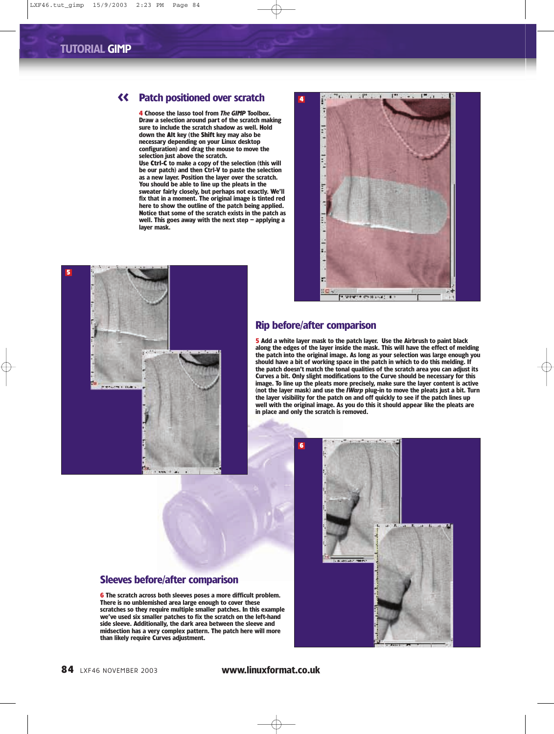**5**

### << **Patch positioned over scratch**

**4 Choose the lasso tool from** *The GIMP* **Toolbox. Draw a selection around part of the scratch making sure to include the scratch shadow as well. Hold down the Alt key (the Shift key may also be necessary depending on your Linux desktop configuration) and drag the mouse to move the selection just above the scratch.** 

**Use Ctrl-C to make a copy of the selection (this will be our patch) and then Ctrl-V to paste the selection as a new layer. Position the layer over the scratch. You should be able to line up the pleats in the sweater fairly closely, but perhaps not exactly. We'll fix that in a moment. The original image is tinted red here to show the outline of the patch being applied.**





#### **Rip before/after comparison**

**4**

**5 Add a white layer mask to the patch layer. Use the Airbrush to paint black along the edges of the layer inside the mask. This will have the effect of melding the patch into the original image. As long as your selection was large enough you should have a bit of working space in the patch in which to do this melding. If the patch doesn't match the tonal qualities of the scratch area you can adjust its Curves a bit. Only slight modifications to the Curve should be necessary for this image. To line up the pleats more precisely, make sure the layer content is active (not the layer mask) and use the** *IWarp* **plug-in to move the pleats just a bit. Turn the layer visibility for the patch on and off quickly to see if the patch lines up well with the original image. As you do this it should appear like the pleats are in place and only the scratch is removed.**

#### **Sleeves before/after comparison**

**6 The scratch across both sleeves poses a more difficult problem. There is no unblemished area large enough to cover these scratches so they require multiple smaller patches. In this example we've used six smaller patches to fix the scratch on the left-hand side sleeve. Additionally, the dark area between the sleeve and midsection has a very complex pattern. The patch here will more than likely require Curves adjustment.**



**TT 0.8** 

#### **84** LXF46 NOVEMBER 2003 **www.linuxformat.co.uk**